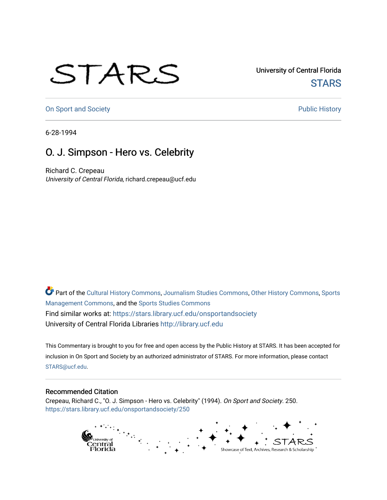## STARS

University of Central Florida **STARS** 

[On Sport and Society](https://stars.library.ucf.edu/onsportandsociety) **Public History** Public History

6-28-1994

## O. J. Simpson - Hero vs. Celebrity

Richard C. Crepeau University of Central Florida, richard.crepeau@ucf.edu

Part of the [Cultural History Commons](http://network.bepress.com/hgg/discipline/496?utm_source=stars.library.ucf.edu%2Fonsportandsociety%2F250&utm_medium=PDF&utm_campaign=PDFCoverPages), [Journalism Studies Commons,](http://network.bepress.com/hgg/discipline/333?utm_source=stars.library.ucf.edu%2Fonsportandsociety%2F250&utm_medium=PDF&utm_campaign=PDFCoverPages) [Other History Commons,](http://network.bepress.com/hgg/discipline/508?utm_source=stars.library.ucf.edu%2Fonsportandsociety%2F250&utm_medium=PDF&utm_campaign=PDFCoverPages) [Sports](http://network.bepress.com/hgg/discipline/1193?utm_source=stars.library.ucf.edu%2Fonsportandsociety%2F250&utm_medium=PDF&utm_campaign=PDFCoverPages) [Management Commons](http://network.bepress.com/hgg/discipline/1193?utm_source=stars.library.ucf.edu%2Fonsportandsociety%2F250&utm_medium=PDF&utm_campaign=PDFCoverPages), and the [Sports Studies Commons](http://network.bepress.com/hgg/discipline/1198?utm_source=stars.library.ucf.edu%2Fonsportandsociety%2F250&utm_medium=PDF&utm_campaign=PDFCoverPages) Find similar works at: <https://stars.library.ucf.edu/onsportandsociety> University of Central Florida Libraries [http://library.ucf.edu](http://library.ucf.edu/) 

This Commentary is brought to you for free and open access by the Public History at STARS. It has been accepted for inclusion in On Sport and Society by an authorized administrator of STARS. For more information, please contact [STARS@ucf.edu](mailto:STARS@ucf.edu).

## Recommended Citation

Crepeau, Richard C., "O. J. Simpson - Hero vs. Celebrity" (1994). On Sport and Society. 250. [https://stars.library.ucf.edu/onsportandsociety/250](https://stars.library.ucf.edu/onsportandsociety/250?utm_source=stars.library.ucf.edu%2Fonsportandsociety%2F250&utm_medium=PDF&utm_campaign=PDFCoverPages)

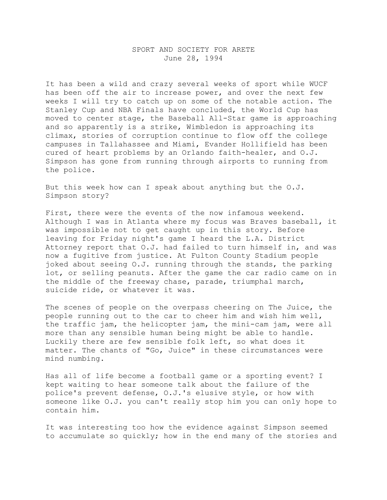## SPORT AND SOCIETY FOR ARETE June 28, 1994

It has been a wild and crazy several weeks of sport while WUCF has been off the air to increase power, and over the next few weeks I will try to catch up on some of the notable action. The Stanley Cup and NBA Finals have concluded, the World Cup has moved to center stage, the Baseball All-Star game is approaching and so apparently is a strike, Wimbledon is approaching its climax, stories of corruption continue to flow off the college campuses in Tallahassee and Miami, Evander Hollifield has been cured of heart problems by an Orlando faith-healer, and O.J. Simpson has gone from running through airports to running from the police.

But this week how can I speak about anything but the O.J. Simpson story?

First, there were the events of the now infamous weekend. Although I was in Atlanta where my focus was Braves baseball, it was impossible not to get caught up in this story. Before leaving for Friday night's game I heard the L.A. District Attorney report that O.J. had failed to turn himself in, and was now a fugitive from justice. At Fulton County Stadium people joked about seeing O.J. running through the stands, the parking lot, or selling peanuts. After the game the car radio came on in the middle of the freeway chase, parade, triumphal march, suicide ride, or whatever it was.

The scenes of people on the overpass cheering on The Juice, the people running out to the car to cheer him and wish him well, the traffic jam, the helicopter jam, the mini-cam jam, were all more than any sensible human being might be able to handle. Luckily there are few sensible folk left, so what does it matter. The chants of "Go, Juice" in these circumstances were mind numbing.

Has all of life become a football game or a sporting event? I kept waiting to hear someone talk about the failure of the police's prevent defense, O.J.'s elusive style, or how with someone like O.J. you can't really stop him you can only hope to contain him.

It was interesting too how the evidence against Simpson seemed to accumulate so quickly; how in the end many of the stories and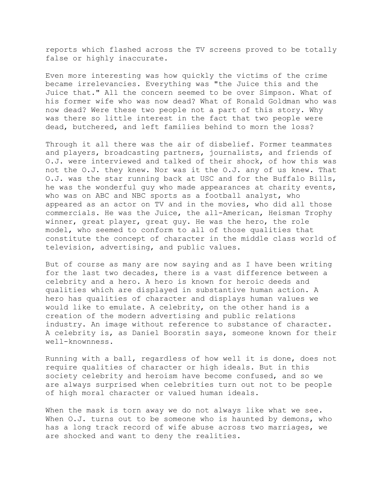reports which flashed across the TV screens proved to be totally false or highly inaccurate.

Even more interesting was how quickly the victims of the crime became irrelevancies. Everything was "the Juice this and the Juice that." All the concern seemed to be over Simpson. What of his former wife who was now dead? What of Ronald Goldman who was now dead? Were these two people not a part of this story. Why was there so little interest in the fact that two people were dead, butchered, and left families behind to morn the loss?

Through it all there was the air of disbelief. Former teammates and players, broadcasting partners, journalists, and friends of O.J. were interviewed and talked of their shock, of how this was not the O.J. they knew. Nor was it the O.J. any of us knew. That O.J. was the star running back at USC and for the Buffalo Bills, he was the wonderful guy who made appearances at charity events, who was on ABC and NBC sports as a football analyst, who appeared as an actor on TV and in the movies, who did all those commercials. He was the Juice, the all-American, Heisman Trophy winner, great player, great guy. He was the hero, the role model, who seemed to conform to all of those qualities that constitute the concept of character in the middle class world of television, advertising, and public values.

But of course as many are now saying and as I have been writing for the last two decades, there is a vast difference between a celebrity and a hero. A hero is known for heroic deeds and qualities which are displayed in substantive human action. A hero has qualities of character and displays human values we would like to emulate. A celebrity, on the other hand is a creation of the modern advertising and public relations industry. An image without reference to substance of character. A celebrity is, as Daniel Boorstin says, someone known for their well-knownness.

Running with a ball, regardless of how well it is done, does not require qualities of character or high ideals. But in this society celebrity and heroism have become confused, and so we are always surprised when celebrities turn out not to be people of high moral character or valued human ideals.

When the mask is torn away we do not always like what we see. When O.J. turns out to be someone who is haunted by demons, who has a long track record of wife abuse across two marriages, we are shocked and want to deny the realities.